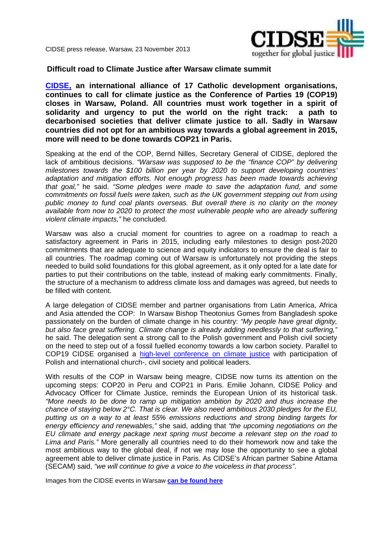

CIDSE press release, Warsaw, 23 November 2013

## **Difficult road to Climate Justice after Warsaw climate summit**

**[CIDSE,](http://www.cidse.org/) an international alliance of 17 Catholic development organisations, continues to call for climate justice as the Conference of Parties 19 (COP19) closes in Warsaw, Poland. All countries must work together in a spirit of solidarity and urgency to put the world on the right track: a path to decarbonised societies that deliver climate justice to all. Sadly in Warsaw countries did not opt for an ambitious way towards a global agreement in 2015, more will need to be done towards COP21 in Paris.** 

Speaking at the end of the COP, Bernd Nilles, Secretary General of CIDSE, deplored the lack of ambitious decisions. "Warsaw was supposed to be the "finance COP" by delivering milestones towards the \$100 billion per year by 2020 to support developing countries' adaptation and mitigation efforts. Not enough progress has been made towards achieving that goal," he said. "Some pledges were made to save the adaptation fund, and some commitments on fossil fuels were taken, such as the UK government stepping out from using public money to fund coal plants overseas. But overall there is no clarity on the money available from now to 2020 to protect the most vulnerable people who are already suffering violent climate impacts," he concluded.

Warsaw was also a crucial moment for countries to agree on a roadmap to reach a satisfactory agreement in Paris in 2015, including early milestones to design post-2020 commitments that are adequate to science and equity indicators to ensure the deal is fair to all countries. The roadmap coming out of Warsaw is unfortunately not providing the steps needed to build solid foundations for this global agreement, as it only opted for a late date for parties to put their contributions on the table, instead of making early commitments. Finally, the structure of a mechanism to address climate loss and damages was agreed, but needs to be filled with content.

A large delegation of CIDSE member and partner organisations from Latin America, Africa and Asia attended the COP: In Warsaw Bishop Theotonius Gomes from Bangladesh spoke passionately on the burden of climate change in his country: "My people have great dignity, but also face great suffering. Climate change is already adding needlessly to that suffering," he said. The delegation sent a strong call to the Polish government and Polish civil society on the need to step out of a fossil fuelled economy towards a low carbon society. Parallel to COP19 CIDSE organised a [high-level conference on climate justice](http://cidse.org/content/articles/climate-justice/climateconferenceprogramme.html) with participation of Polish and international church-, civil society and political leaders.

With results of the COP in Warsaw being meagre, CIDSE now turns its attention on the upcoming steps: COP20 in Peru and COP21 in Paris. Emilie Johann, CIDSE Policy and Advocacy Officer for Climate Justice, reminds the European Union of its historical task. "More needs to be done to ramp up mitigation ambition by 2020 and thus increase the chance of staying below 2°C. That is clear. We also need ambitious 2030 pledges for the EU, putting us on a way to at least 55% emissions reductions and strong binding targets for energy efficiency and renewables," she said, adding that "the upcoming negotiations on the EU climate and energy package next spring must become a relevant step on the road to Lima and Paris." More generally all countries need to do their homework now and take the most ambitious way to the global deal, if not we may lose the opportunity to see a global agreement able to deliver climate justice in Paris. As CIDSE's African partner Sabine Attama (SECAM) said, "we will continue to give a voice to the voiceless in that process".

Images from the CIDSE events in Warsaw **[can be found here](http://www.flickr.com/photos/cidse/sets/72157637798599904/)**